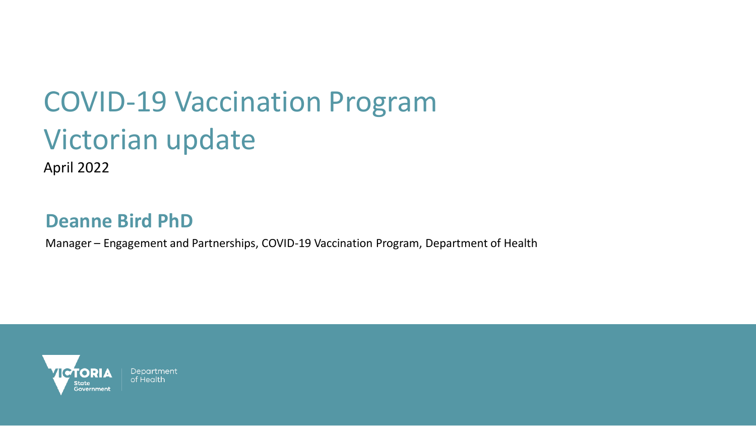# COVID-19 Vaccination Program Victorian update

April 2022

### **Deanne Bird PhD**

Manager – Engagement and Partnerships, COVID-19 Vaccination Program, Department of Health



Department of Health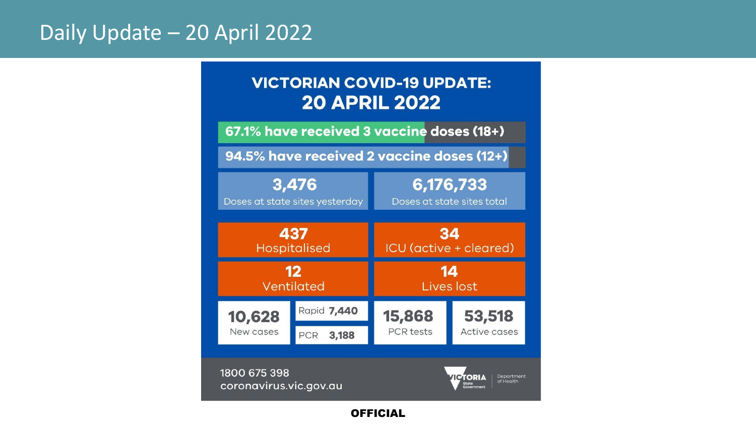# Daily Update – 20 April 2022

### **VICTORIAN COVID-19 UPDATE: 20 APRIL 2022**

67.1% have received 3 vaccine doses (18+)

94.5% have received 2 vaccine doses (12+)

| 3,476                          |              | 6,176,733                  |                        |
|--------------------------------|--------------|----------------------------|------------------------|
| Doses at state sites yesterday |              | Doses at state sites total |                        |
| 437                            |              | 34                         |                        |
| Hospitalised                   |              | ICU (active + cleared)     |                        |
| 12                             |              | 14                         |                        |
| Ventilated                     |              | Lives lost                 |                        |
| 10,628<br>New cases            | Rapid 7,440  | 15,868<br><b>PCR</b> tests | 53,518<br>Active cases |
|                                | PCR<br>3,188 |                            |                        |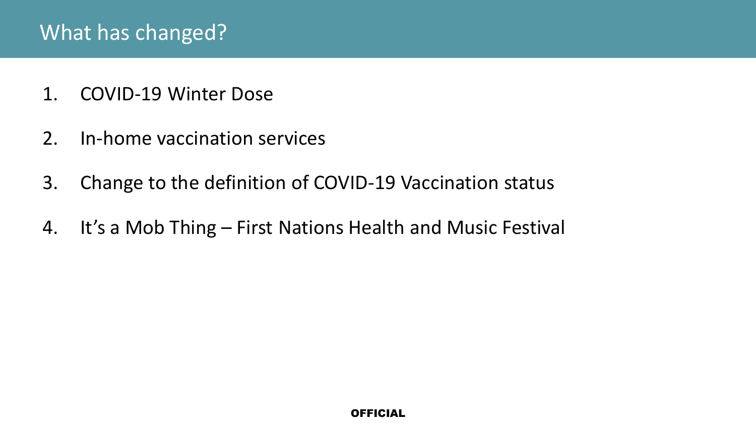- 1. COVID-19 Winter Dose
- 2. In-home vaccination services
- 3. Change to the definition of COVID-19 Vaccination status
- 4. It's a Mob Thing First Nations Health and Music Festival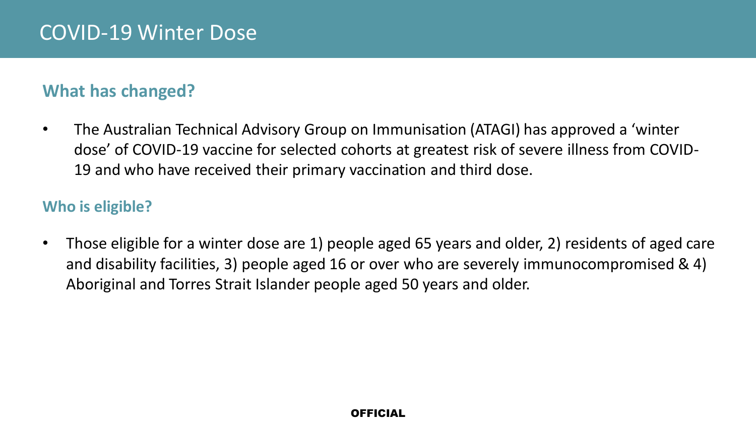### **What has changed?**

• The Australian Technical Advisory Group on Immunisation (ATAGI) has approved a 'winter dose' of COVID-19 vaccine for selected cohorts at greatest risk of severe illness from COVID-19 and who have received their primary vaccination and third dose.

### **Who is eligible?**

• Those eligible for a winter dose are 1) people aged 65 years and older, 2) residents of aged care and disability facilities, 3) people aged 16 or over who are severely immunocompromised & 4) Aboriginal and Torres Strait Islander people aged 50 years and older.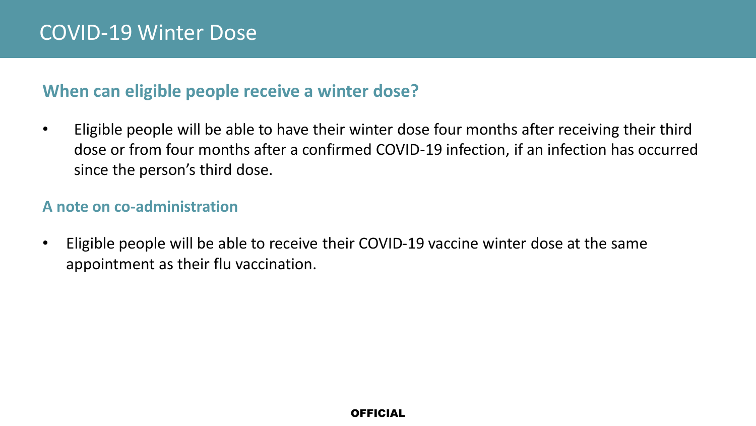### **When can eligible people receive a winter dose?**

• Eligible people will be able to have their winter dose four months after receiving their third dose or from four months after a confirmed COVID-19 infection, if an infection has occurred since the person's third dose.

### **A note on co-administration**

• Eligible people will be able to receive their COVID-19 vaccine winter dose at the same appointment as their flu vaccination.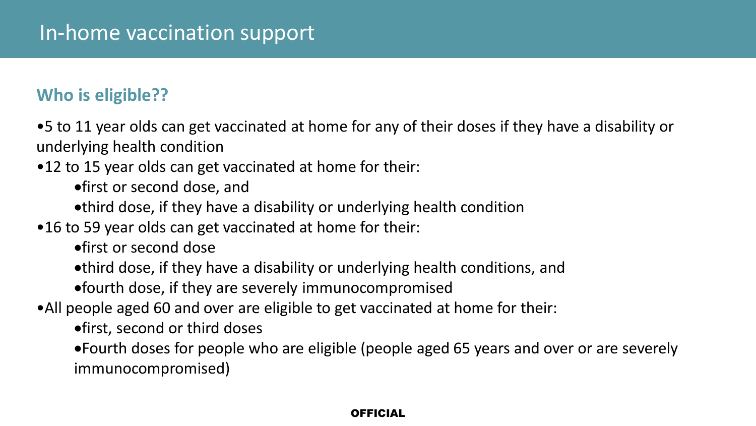### **Who is eligible??**

•5 to 11 year olds can get vaccinated at home for any of their doses if they have a disability or underlying health condition

•12 to 15 year olds can get vaccinated at home for their:

•first or second dose, and

•third dose, if they have a disability or underlying health condition

•16 to 59 year olds can get vaccinated at home for their:

•first or second dose

•third dose, if they have a disability or underlying health conditions, and

•fourth dose, if they are severely immunocompromised

•All people aged 60 and over are eligible to get vaccinated at home for their:

•first, second or third doses

•Fourth doses for people who are eligible (people aged 65 years and over or are severely immunocompromised)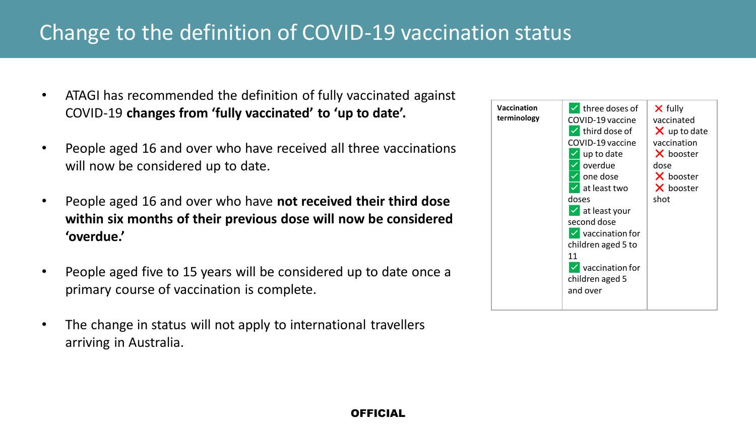# Change to the definition of COVID-19 vaccination status

- ATAGI has recommended the definition of fully vaccinated against COVID-19 **changes from 'fully vaccinated' to 'up to date'.**
- People aged 16 and over who have received all three vaccinations will now be considered up to date.
- People aged 16 and over who have **not received their third dose within six months of their previous dose will now be considered 'overdue.'**
- People aged five to 15 years will be considered up to date once a primary course of vaccination is complete.
- The change in status will not apply to international travellers arriving in Australia.

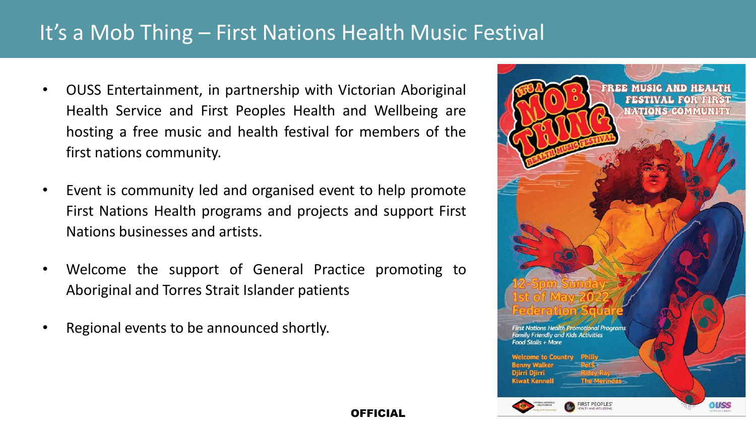# It's a Mob Thing – First Nations Health Music Festival

- OUSS Entertainment, in partnership with Victorian Aboriginal Health Service and First Peoples Health and Wellbeing are hosting a free music and health festival for members of the first nations community.
- Event is community led and organised event to help promote First Nations Health programs and projects and support First Nations businesses and artists.
- Welcome the support of General Practice promoting to Aboriginal and Torres Strait Islander patients
- Regional events to be announced shortly.

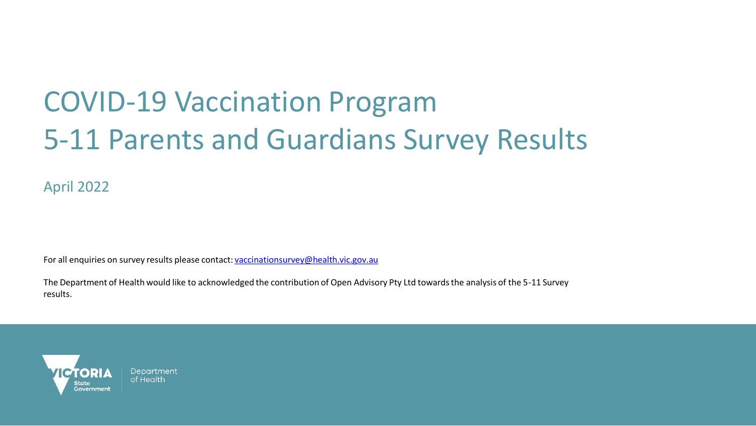# COVID-19 Vaccination Program 5-11 Parents and Guardians Survey Results

April 2022

For all enquiries on survey results please contact: [vaccinationsurvey@health.vic.gov.au](mailto:vaccinationsurvey@health.vic.gov.au)

The Department of Health would like to acknowledged the contribution of Open Advisory Pty Ltd towards the analysis of the 5-11 Survey results.



Department of Health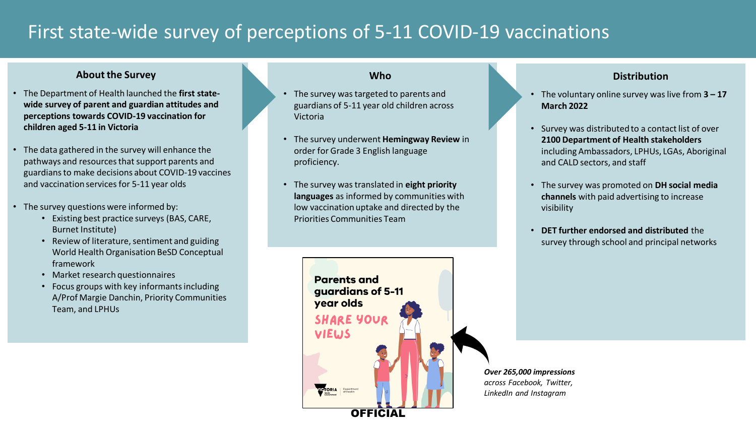## First state-wide survey of perceptions of 5-11 COVID-19 vaccinations

#### **About the Survey**

- The Department of Health launched the **first statewide survey of parent and guardian attitudes and perceptions towards COVID-19 vaccination for children aged 5-11 in Victoria**
- The data gathered in the survey will enhance the pathways and resources that support parents and guardians to make decisions about COVID-19 vaccines and vaccination services for 5-11 year olds
- The survey questions were informed by:
	- Existing best practice surveys (BAS, CARE, Burnet Institute)
	- Review of literature, sentiment and guiding World Health Organisation BeSD Conceptual framework
	- Market research questionnaires
	- Focus groups with key informants including A/Prof Margie Danchin, Priority Communities Team, and LPHUs

#### **Who**

- The survey was targeted to parents and guardians of 5-11 year old children across Victoria
- The survey underwent **Hemingway Review** in order for Grade 3 English language proficiency.
- The survey was translated in **eight priority languages** as informed by communities with low vaccination uptake and directed by the Priorities Communities Team



#### **Distribution**

- The voluntary online survey was live from **3 – 17 March 2022**
- Survey was distributed to a contact list of over **2100 Department of Health stakeholders** including Ambassadors, LPHUs, LGAs, Aboriginal and CALD sectors, and staff
- The survey was promoted on **DH social media channels** with paid advertising to increase visibility
- **DET further endorsed and distributed** the survey through school and principal networks

*Over 265,000 impressions across Facebook, Twitter, LinkedIn and Instagram*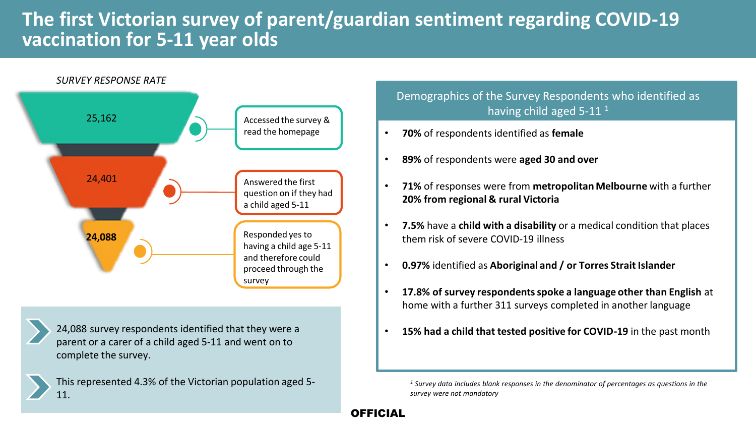## **The first Victorian survey of parent/guardian sentiment regarding COVID-19 vaccination for 5-11 year olds**



24,088 survey respondents identified that they were a parent or a carer of a child aged 5-11 and went on to complete the survey.

This represented 4.3% of the Victorian population aged 5- 11.

Demographics of the Survey Respondents who identified as having child aged 5-11<sup>1</sup>

- **70%** of respondents identified as **female**
- **89%** of respondents were **aged 30 and over**
- **71%** of responses were from **metropolitan Melbourne** with a further **20% from regional & rural Victoria**
- **7.5%** have a **child with a disability** or a medical condition that places them risk of severe COVID-19 illness
- **0.97%** identified as **Aboriginal and / or Torres Strait Islander**
- **17.8% of survey respondents spoke a language other than English** at home with a further 311 surveys completed in another language
- **15% had a child that tested positive for COVID-19** in the past month

*<sup>1</sup> Survey data includes blank responses in the denominator of percentages as questions in the survey were not mandatory*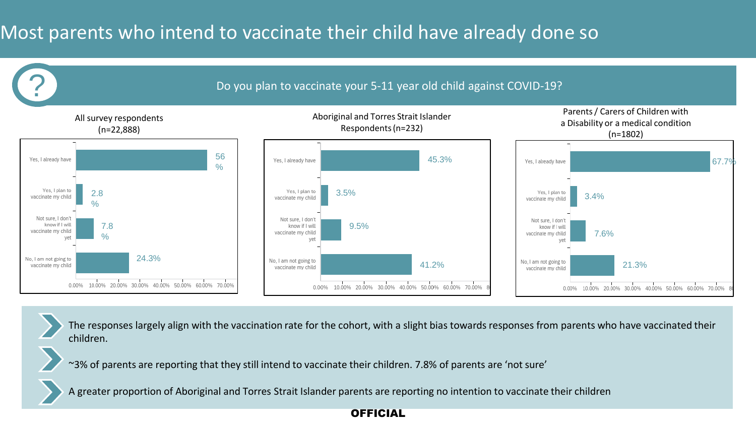# Most parents who intend to vaccinate their child have already done so



The responses largely align with the vaccination rate for the cohort, with a slight bias towards responses from parents who have vaccinated their children.

~3% of parents are reporting that they still intend to vaccinate their children. 7.8% of parents are 'not sure'

A greater proportion of Aboriginal and Torres Strait Islander parents are reporting no intention to vaccinate their children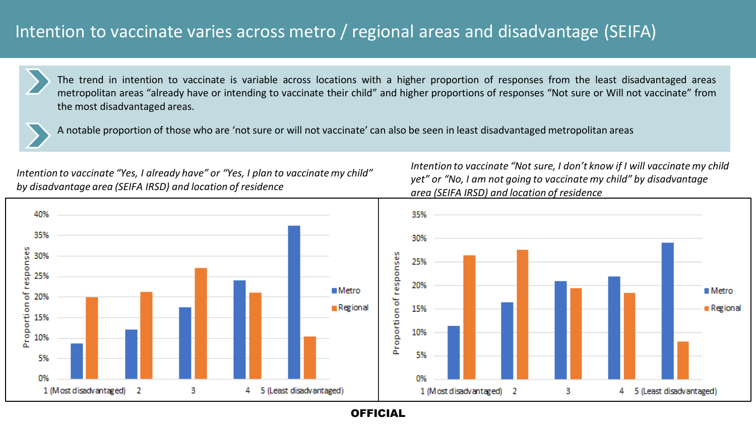### Intention to vaccinate varies across metro / regional areas and disadvantage (SEIFA)



The trend in intention to vaccinate is variable across locations with a higher proportion of responses from the least disadvantaged areas metropolitan areas "already have or intending to vaccinate their child" and higher proportions of responses "Not sure or Will not vaccinate" from the most disadvantaged areas.



A notable proportion of those who are 'not sure or will not vaccinate' can also be seen in least disadvantaged metropolitan areas

*Intention to vaccinate "Yes, I already have" or "Yes, I plan to vaccinate my child" by disadvantage area (SEIFA IRSD) and location of residence*

*Intention to vaccinate "Not sure, I don't know if I will vaccinate my child yet" or "No, I am not going to vaccinate my child" by disadvantage area (SEIFA IRSD) and location of residence*

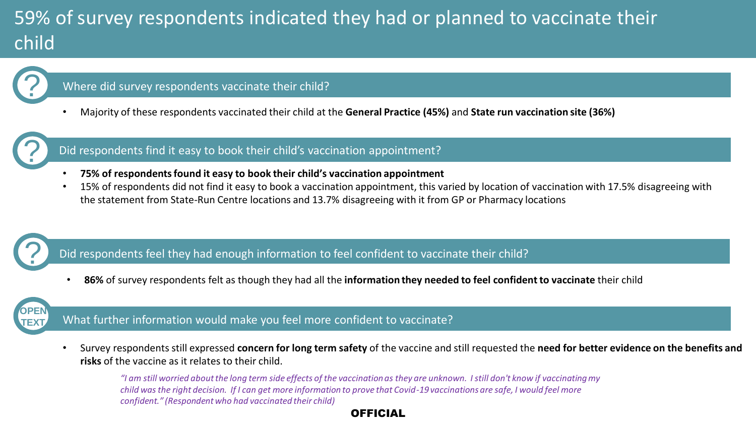# 59% of survey respondents indicated they had or planned to vaccinate their child



#### Where did survey respondents vaccinate their child?

• Majority of these respondents vaccinated their child at the **General Practice (45%)** and **State run vaccination site (36%)** 



### Did respondents find it easy to book their child's vaccination appointment?

- **75% of respondents found it easy to book their child's vaccination appointment**
- 15% of respondents did not find it easy to book a vaccination appointment, this varied by location of vaccination with 17.5% disagreeing with the statement from State-Run Centre locations and 13.7% disagreeing with it from GP or Pharmacy locations

### Did respondents feel they had enough information to feel confident to vaccinate their child?

• **86%** of survey respondents felt as though they had all the **information they needed to feel confident to vaccinate** their child



?

### What further information would make you feel more confident to vaccinate?

• Survey respondents still expressed **concern for long term safety** of the vaccine and still requested the **need for better evidence on the benefits and risks** of the vaccine as it relates to their child.

*"I am still worried about the long term side effects of the vaccination as they are unknown. I still don't know if vaccinating my child was the right decision. If I can get more information to prove that Covid-19 vaccinations are safe, I would feel more confident." (Respondent who had vaccinated their child)*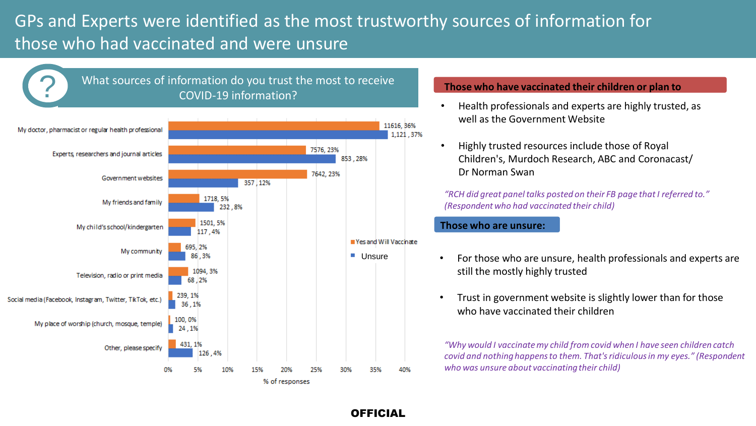### GPs and Experts were identified as the most trustworthy sources of information for those who had vaccinated and were unsure

OFFICIAL



#### **Those who have vaccinated their children or plan to**

- Health professionals and experts are highly trusted, as well as the Government Website
- Highly trusted resources include those of Royal Children's, Murdoch Research, ABC and Coronacast/ Dr Norman Swan

*"RCH did great panel talks posted on their FB page that I referred to." (Respondent who had vaccinated their child)*

#### **Those who are unsure:**

- For those who are unsure, health professionals and experts are still the mostly highly trusted
- Trust in government website is slightly lower than for those who have vaccinated their children

*"Why would I vaccinate my child from covid when I have seen children catch covid and nothing happens to them. That's ridiculous in my eyes." (Respondent who was unsure about vaccinating their child)*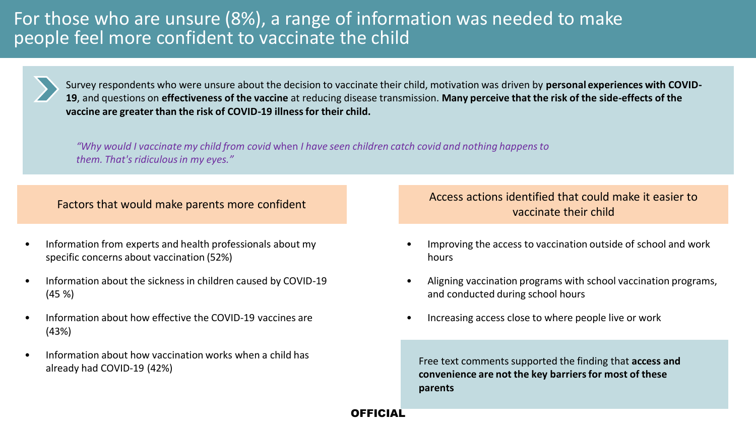### For those who are unsure (8%), a range of information was needed to make people feel more confident to vaccinate the child



Survey respondents who were unsure about the decision to vaccinate their child, motivation was driven by **personal experiences with COVID-19**, and questions on **effectiveness of the vaccine** at reducing disease transmission. **Many perceive that the risk of the side-effects of the vaccine are greater than the risk of COVID-19 illness for their child.**

OFFICIAL

*"Why would I vaccinate my child from covid* when *I have seen children catch covid and nothing happens to them. That's ridiculous in my eyes."*

- Information from experts and health professionals about my specific concerns about vaccination (52%)
- Information about the sickness in children caused by COVID-19 (45 %)
- Information about how effective the COVID-19 vaccines are (43%)
- Information about how vaccination works when a child has already had COVID-19 (42%)

Factors that would make parents more confident Access actions identified that could make it easier to vaccinate their child

- Improving the access to vaccination outside of school and work hours
- Aligning vaccination programs with school vaccination programs, and conducted during school hours
- Increasing access close to where people live or work

Free text comments supported the finding that **access and convenience are not the key barriers for most of these parents**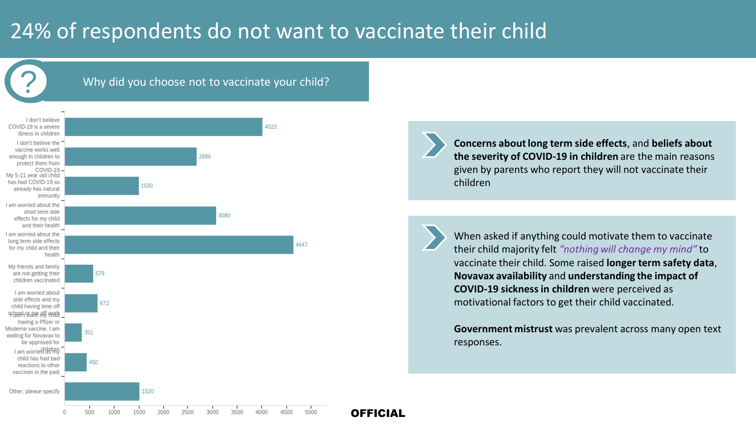# 24% of respondents do not want to vaccinate their child

Why did you choose not to vaccinate your child?



**Concerns about long term side effects**, and **beliefs about the severity of COVID-19 in children** are the main reasons given by parents who report they will not vaccinate their children

When asked if anything could motivate them to vaccinate their child majority felt *"nothing will change my mind"* to vaccinate their child. Some raised **longer term safety data**, **Novavax availability** and **understanding the impact of COVID-19 sickness in children** were perceived as motivational factors to get their child vaccinated.

**Government mistrust** was prevalent across many open text responses.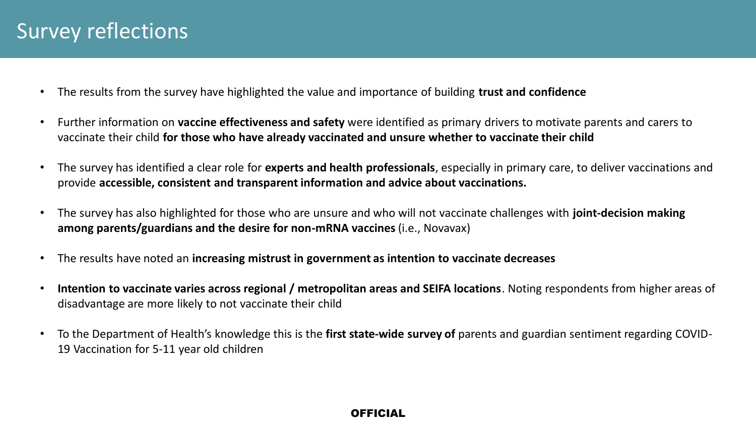- The results from the survey have highlighted the value and importance of building **trust and confidence**
- Further information on **vaccine effectiveness and safety** were identified as primary drivers to motivate parents and carers to vaccinate their child **for those who have already vaccinated and unsure whether to vaccinate their child**
- The survey has identified a clear role for **experts and health professionals**, especially in primary care, to deliver vaccinations and provide **accessible, consistent and transparent information and advice about vaccinations.**
- The survey has also highlighted for those who are unsure and who will not vaccinate challenges with **joint-decision making among parents/guardians and the desire for non-mRNA vaccines** (i.e., Novavax)
- The results have noted an **increasing mistrust in government as intention to vaccinate decreases**
- **Intention to vaccinate varies across regional / metropolitan areas and SEIFA locations**. Noting respondents from higher areas of disadvantage are more likely to not vaccinate their child
- To the Department of Health's knowledge this is the **first state-wide survey of** parents and guardian sentiment regarding COVID-19 Vaccination for 5-11 year old children